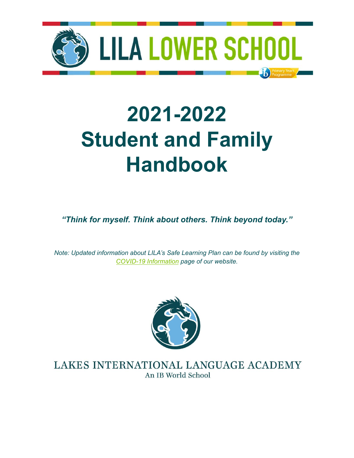

# **2021-2022 Student and Family Handbook**

*"Think for myself. Think about others. Think beyond today."*

*Note: Updated information about LILA's Safe Learning Plan can be found by visiting the COVID-19 [Information](https://mylila.org/covid-19-response-information) page of our website.*



LAKES INTERNATIONAL LANGUAGE ACADEMY An IB World School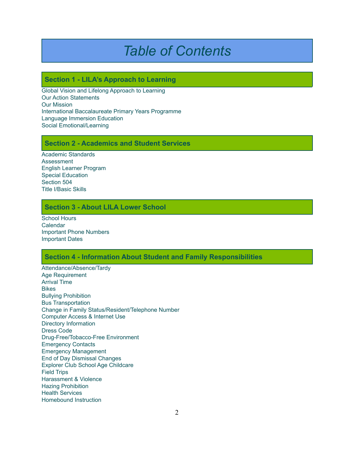# *Table of Contents*

# **Section 1 - LILA's Approach to Learning**

Global Vision and Lifelong Approach to Learning Our Action Statements Our Mission International Baccalaureate Primary Years Programme Language Immersion Education Social Emotional/Learning

# **Section 2 - Academics and Student Services**

Academic Standards Assessment English Learner Program Special Education Section 504 Title I/Basic Skills

# **Section 3 - About LILA Lower School**

School Hours Calendar Important Phone Numbers Important Dates

#### **Section 4 - Information About Student and Family Responsibilities**

Attendance/Absence/Tardy Age Requirement Arrival Time Bikes Bullying Prohibition Bus Transportation Change in Family Status/Resident/Telephone Number Computer Access & Internet Use Directory Information Dress Code Drug-Free/Tobacco-Free Environment Emergency Contacts Emergency Management End of Day Dismissal Changes Explorer Club School Age Childcare Field Trips Harassment & Violence Hazing Prohibition Health Services Homebound Instruction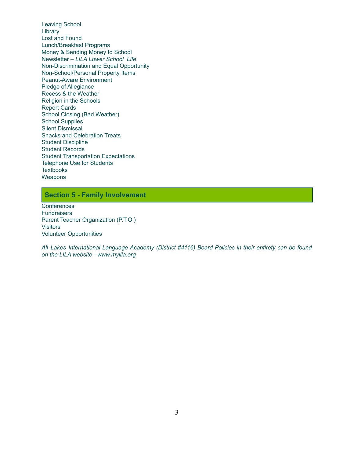Leaving School **Library** Lost and Found Lunch/Breakfast Programs Money & Sending Money to School Newsletter – *LILA Lower School Life* Non-Discrimination and Equal Opportunity Non-School/Personal Property Items Peanut-Aware Environment Pledge of Allegiance Recess & the Weather Religion in the Schools Report Cards School Closing (Bad Weather) School Supplies Silent Dismissal Snacks and Celebration Treats Student Discipline Student Records Student Transportation Expectations Telephone Use for Students **Textbooks Weapons** 

# **Section 5 - Family Involvement**

**Conferences Fundraisers** Parent Teacher Organization (P.T.O.) **Visitors** Volunteer Opportunities

*All Lakes International Language Academy (District #4116) Board Policies in their entirety can be found on the LILA website - www.mylila.org*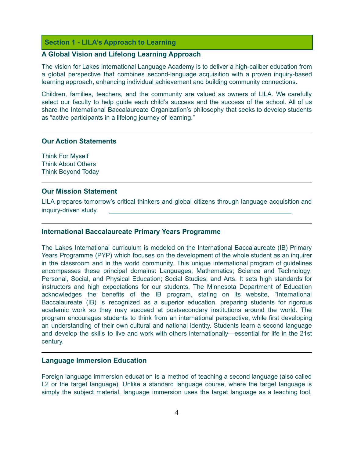#### **Section 1 - LILA's Approach to Learning**

# **A Global Vision and Lifelong Learning Approach**

The vision for Lakes International Language Academy is to deliver a high-caliber education from a global perspective that combines second-language acquisition with a proven inquiry-based learning approach, enhancing individual achievement and building community connections.

Children, families, teachers, and the community are valued as owners of LILA. We carefully select our faculty to help guide each child's success and the success of the school. All of us share the International Baccalaureate Organization's philosophy that seeks to develop students as "active participants in a lifelong journey of learning."

### **Our Action Statements**

Think For Myself Think About Others Think Beyond Today

#### **Our Mission Statement**

LILA prepares tomorrow's critical thinkers and global citizens through language acquisition and inquiry-driven study.

#### **International Baccalaureate Primary Years Programme**

The Lakes International curriculum is modeled on the International Baccalaureate (IB) Primary Years Programme (PYP) which focuses on the development of the whole student as an inquirer in the classroom and in the world community. This unique international program of guidelines encompasses these principal domains: Languages; Mathematics; Science and Technology; Personal, Social, and Physical Education; Social Studies; and Arts. It sets high standards for instructors and high expectations for our students. The Minnesota Department of Education acknowledges the benefits of the IB program, stating on its website, "International Baccalaureate (IB) is recognized as a superior education, preparing students for rigorous academic work so they may succeed at postsecondary institutions around the world. The program encourages students to think from an international perspective, while first developing an understanding of their own cultural and national identity. Students learn a second language and develop the skills to live and work with others internationally—essential for life in the 21st century.

#### **Language Immersion Education**

Foreign language immersion education is a method of teaching a second language (also called L2 or the target language). Unlike a standard language course, where the target language is simply the subject material, language immersion uses the target language as a teaching tool,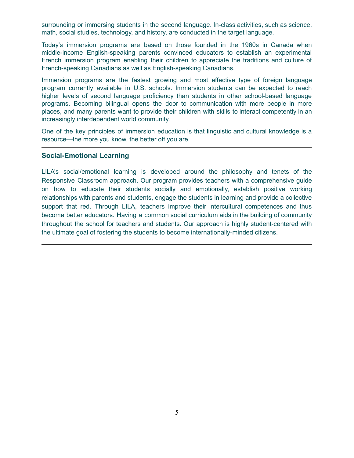surrounding or immersing students in the second language. In-class activities, such as science, math, social studies, technology, and history, are conducted in the target language.

Today's immersion programs are based on those founded in the 1960s in Canada when middle-income English-speaking parents convinced educators to establish an experimental French immersion program enabling their children to appreciate the traditions and culture of French-speaking Canadians as well as English-speaking Canadians.

Immersion programs are the fastest growing and most effective type of foreign language program currently available in U.S. schools. Immersion students can be expected to reach higher levels of second language proficiency than students in other school-based language programs. Becoming bilingual opens the door to communication with more people in more places, and many parents want to provide their children with skills to interact competently in an increasingly interdependent world community.

One of the key principles of immersion education is that linguistic and cultural knowledge is a resource—the more you know, the better off you are.

#### **Social-Emotional Learning**

LILA's social/emotional learning is developed around the philosophy and tenets of the Responsive Classroom approach. Our program provides teachers with a comprehensive guide on how to educate their students socially and emotionally, establish positive working relationships with parents and students, engage the students in learning and provide a collective support that red. Through LILA, teachers improve their intercultural competences and thus become better educators. Having a common social curriculum aids in the building of community throughout the school for teachers and students. Our approach is highly student-centered with the ultimate goal of fostering the students to become internationally-minded citizens.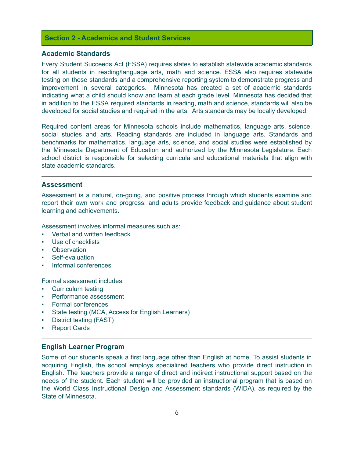# **Section 2 - Academics and Student Services**

#### **Academic Standards**

Every Student Succeeds Act (ESSA) requires states to establish statewide academic standards for all students in reading/language arts, math and science. ESSA also requires statewide testing on those standards and a comprehensive reporting system to demonstrate progress and improvement in several categories. Minnesota has created a set of academic standards indicating what a child should know and learn at each grade level. Minnesota has decided that in addition to the ESSA required standards in reading, math and science, standards will also be developed for social studies and required in the arts. Arts standards may be locally developed.

Required content areas for Minnesota schools include mathematics, language arts, science, social studies and arts. Reading standards are included in language arts. Standards and benchmarks for mathematics, language arts, science, and social studies were established by the Minnesota Department of Education and authorized by the Minnesota Legislature. Each school district is responsible for selecting curricula and educational materials that align with state academic standards.

#### **Assessment**

Assessment is a natural, on-going, and positive process through which students examine and report their own work and progress, and adults provide feedback and guidance about student learning and achievements.

Assessment involves informal measures such as:

- Verbal and written feedback
- Use of checklists
- **Observation**
- Self-evaluation
- Informal conferences

Formal assessment includes:

- **Curriculum testing**
- Performance assessment
- Formal conferences
- State testing (MCA, Access for English Learners)
- District testing (FAST)
- Report Cards

#### **English Learner Program**

Some of our students speak a first language other than English at home. To assist students in acquiring English, the school employs specialized teachers who provide direct instruction in English. The teachers provide a range of direct and indirect instructional support based on the needs of the student. Each student will be provided an instructional program that is based on the World Class Instructional Design and Assessment standards (WIDA), as required by the State of Minnesota.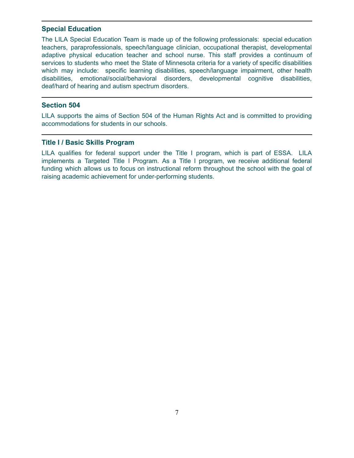# **Special Education**

The LILA Special Education Team is made up of the following professionals: special education teachers, paraprofessionals, speech/language clinician, occupational therapist, developmental adaptive physical education teacher and school nurse. This staff provides a continuum of services to students who meet the State of Minnesota criteria for a variety of specific disabilities which may include: specific learning disabilities, speech/language impairment, other health disabilities, emotional/social/behavioral disorders, developmental cognitive disabilities, deaf/hard of hearing and autism spectrum disorders.

# **Section 504**

LILA supports the aims of Section 504 of the Human Rights Act and is committed to providing accommodations for students in our schools.

# **Title I / Basic Skills Program**

LILA qualifies for federal support under the Title I program, which is part of ESSA. LILA implements a Targeted Title I Program. As a Title I program, we receive additional federal funding which allows us to focus on instructional reform throughout the school with the goal of raising academic achievement for under-performing students.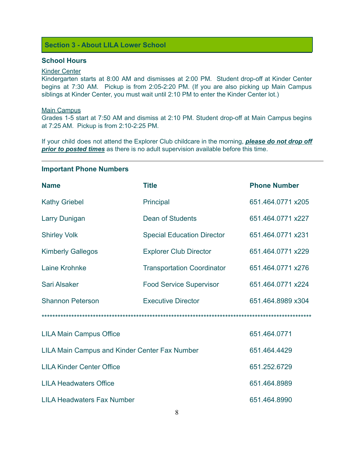# **Section 3 - About LILA Lower School**

# **School Hours**

# Kinder Center

Kindergarten starts at 8:00 AM and dismisses at 2:00 PM. Student drop-off at Kinder Center begins at 7:30 AM. Pickup is from 2:05-2:20 PM. (If you are also picking up Main Campus siblings at Kinder Center, you must wait until 2:10 PM to enter the Kinder Center lot.)

#### Main Campus

Grades 1-5 start at 7:50 AM and dismiss at 2:10 PM. Student drop-off at Main Campus begins at 7:25 AM. Pickup is from 2:10-2:25 PM.

If your child does not attend the Explorer Club childcare in the morning, *please do not drop off prior to posted times* as there is no adult supervision available before this time.

#### **Important Phone Numbers**

| <b>Name</b>                                   | <b>Title</b>                      | <b>Phone Number</b> |  |
|-----------------------------------------------|-----------------------------------|---------------------|--|
| <b>Kathy Griebel</b>                          | Principal                         | 651.464.0771 x205   |  |
| <b>Larry Dunigan</b>                          | Dean of Students                  | 651.464.0771 x227   |  |
| <b>Shirley Volk</b>                           | <b>Special Education Director</b> | 651.464.0771 x231   |  |
| <b>Kimberly Gallegos</b>                      | <b>Explorer Club Director</b>     | 651.464.0771 x229   |  |
| Laine Krohnke                                 | <b>Transportation Coordinator</b> | 651.464.0771 x276   |  |
| Sari Alsaker                                  | <b>Food Service Supervisor</b>    | 651.464.0771 x224   |  |
| <b>Shannon Peterson</b>                       | <b>Executive Director</b>         | 651.464.8989 x304   |  |
|                                               |                                   |                     |  |
| <b>LILA Main Campus Office</b>                |                                   | 651.464.0771        |  |
| LILA Main Campus and Kinder Center Fax Number |                                   | 651.464.4429        |  |
| <b>LILA Kinder Center Office</b>              |                                   | 651.252.6729        |  |
| <b>LILA Headwaters Office</b>                 |                                   | 651.464.8989        |  |
| <b>LILA Headwaters Fax Number</b>             |                                   | 651.464.8990        |  |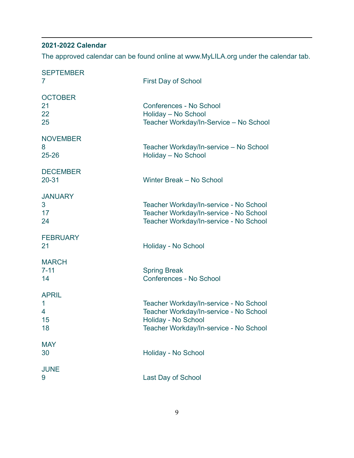# **2021-2022 Calendar**

The approved calendar can be found online at www.MyLILA.org under the calendar tab.

| <b>SEPTEMBER</b><br>7              | <b>First Day of School</b>                                                                                                                        |
|------------------------------------|---------------------------------------------------------------------------------------------------------------------------------------------------|
| <b>OCTOBER</b><br>21<br>22<br>25   | Conferences - No School<br>Holiday - No School<br>Teacher Workday/In-Service - No School                                                          |
| <b>NOVEMBER</b><br>8<br>$25 - 26$  | Teacher Workday/In-service - No School<br>Holiday - No School                                                                                     |
| <b>DECEMBER</b><br>$20 - 31$       | Winter Break - No School                                                                                                                          |
| <b>JANUARY</b><br>3<br>17<br>24    | Teacher Workday/In-service - No School<br>Teacher Workday/In-service - No School<br>Teacher Workday/In-service - No School                        |
| <b>FEBRUARY</b><br>21              | Holiday - No School                                                                                                                               |
| <b>MARCH</b><br>$7 - 11$<br>14     | <b>Spring Break</b><br><b>Conferences - No School</b>                                                                                             |
| <b>APRIL</b><br>1<br>4<br>15<br>18 | Teacher Workday/In-service - No School<br>Teacher Workday/In-service - No School<br>Holiday - No School<br>Teacher Workday/In-service - No School |
| <b>MAY</b><br>30                   | Holiday - No School                                                                                                                               |
| <b>JUNE</b><br>9                   | Last Day of School                                                                                                                                |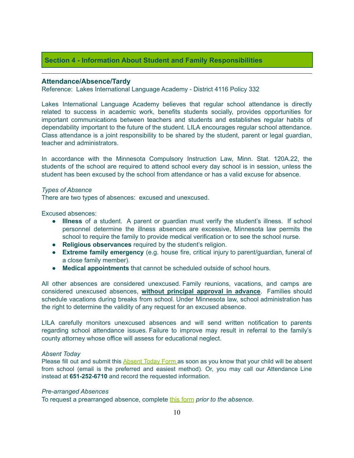# **Section 4 - Information About Student and Family Responsibilities**

#### **Attendance/Absence/Tardy**

Reference: Lakes International Language Academy - District 4116 Policy 332

Lakes International Language Academy believes that regular school attendance is directly related to success in academic work, benefits students socially, provides opportunities for important communications between teachers and students and establishes regular habits of dependability important to the future of the student. LILA encourages regular school attendance. Class attendance is a joint responsibility to be shared by the student, parent or legal guardian, teacher and administrators.

In accordance with the Minnesota Compulsory Instruction Law, Minn. Stat. 120A.22, the students of the school are required to attend school every day school is in session, unless the student has been excused by the school from attendance or has a valid excuse for absence.

#### *Types of Absence*

There are two types of absences: excused and unexcused.

Excused absences:

- **Illness** of a student. A parent or guardian must verify the student's illness. If school personnel determine the illness absences are excessive, Minnesota law permits the school to require the family to provide medical verification or to see the school nurse.
- **Religious observances** required by the student's religion.
- **Extreme family emergency** (e.g. house fire, critical injury to parent/guardian, funeral of a close family member).
- **Medical appointments** that cannot be scheduled outside of school hours.

All other absences are considered unexcused. Family reunions, vacations, and camps are considered unexcused absences, **without principal approval in advance**. Families should schedule vacations during breaks from school. Under Minnesota law, school administration has the right to determine the validity of any request for an excused absence.

LILA carefully monitors unexcused absences and will send written notification to parents regarding school attendance issues. Failure to improve may result in referral to the family's county attorney whose office will assess for educational neglect.

#### *Absent Today*

Please fill out and submit this [Absent](https://www.mylila.org/absent-today) Today Form as soon as you know that your child will be absent from school (email is the preferred and easiest method). Or, you may call our Attendance Line instead at **651-252-6710** and record the requested information.

# *Pre-arranged Absences*

To request a prearranged absence, complete this [form](https://forms.gle/vdEfi3NXMEi1xK657) *prior to the absence.*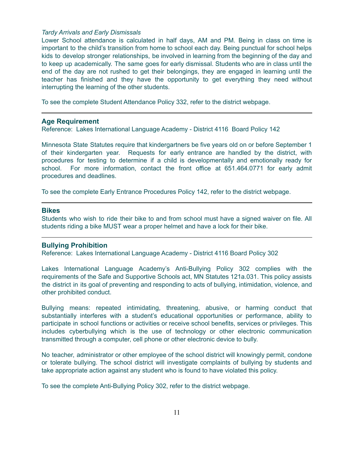#### *Tardy Arrivals and Early Dismissals*

Lower School attendance is calculated in half days, AM and PM. Being in class on time is important to the child's transition from home to school each day. Being punctual for school helps kids to develop stronger relationships, be involved in learning from the beginning of the day and to keep up academically. The same goes for early dismissal. Students who are in class until the end of the day are not rushed to get their belongings, they are engaged in learning until the teacher has finished and they have the opportunity to get everything they need without interrupting the learning of the other students.

To see the complete Student Attendance Policy 332, refer to the district webpage.

#### **Age Requirement**

Reference: Lakes International Language Academy - District 4116 Board Policy 142

Minnesota State Statutes require that kindergartners be five years old on or before September 1 of their kindergarten year. Requests for early entrance are handled by the district, with procedures for testing to determine if a child is developmentally and emotionally ready for school. For more information, contact the front office at 651.464.0771 for early admit procedures and deadlines.

To see the complete Early Entrance Procedures Policy 142, refer to the district webpage.

#### **Bikes**

Students who wish to ride their bike to and from school must have a signed waiver on file. All students riding a bike MUST wear a proper helmet and have a lock for their bike.

#### **Bullying Prohibition**

Reference: Lakes International Language Academy - District 4116 Board Policy 302

Lakes International Language Academy's Anti-Bullying Policy 302 complies with the requirements of the Safe and Supportive Schools act, MN Statutes 121a.031. This policy assists the district in its goal of preventing and responding to acts of bullying, intimidation, violence, and other prohibited conduct.

Bullying means: repeated intimidating, threatening, abusive, or harming conduct that substantially interferes with a student's educational opportunities or performance, ability to participate in school functions or activities or receive school benefits, services or privileges. This includes cyberbullying which is the use of technology or other electronic communication transmitted through a computer, cell phone or other electronic device to bully.

No teacher, administrator or other employee of the school district will knowingly permit, condone or tolerate bullying. The school district will investigate complaints of bullying by students and take appropriate action against any student who is found to have violated this policy.

To see the complete Anti-Bullying Policy 302, refer to the district webpage.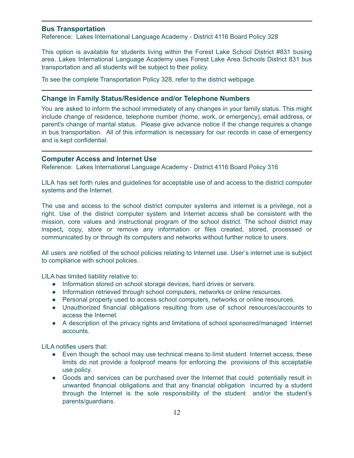# **Bus Transportation**

Reference: Lakes International Language Academy - District 4116 Board Policy 328

This option is available for students living within the Forest Lake School District #831 busing area. Lakes International Language Academy uses Forest Lake Area Schools District 831 bus transportation and all students will be subject to their policy.

To see the complete Transportation Policy 328, refer to the district webpage.

# **Change in Family Status/Residence and/or Telephone Numbers**

You are asked to inform the school immediately of any changes in your family status. This might include change of residence, telephone number (home, work, or emergency), email address, or parent's change of marital status. Please give advance notice if the change requires a change in bus transportation. All of this information is necessary for our records in case of emergency and is kept confidential.

# **Computer Access and Internet Use**

Reference: Lakes International Language Academy - District 4116 Board Policy 316

LILA has set forth rules and guidelines for acceptable use of and access to the district computer systems and the Internet.

The use and access to the school district computer systems and internet is a privilege, not a right. Use of the district computer system and Internet access shall be consistent with the mission, core values and instructional program of the school district. The school district may inspect**,** copy, store or remove any information or files created, stored, processed or communicated by or through its computers and networks without further notice to users.

All users are notified of the school policies relating to Internet use. User's internet use is subject to compliance with school policies.

LILA has limited liability relative to:

- Information stored on school storage devices, hard drives or servers.
- Information retrieved through school computers, networks or online resources.
- Personal property used to access school computers, networks or online resources.
- Unauthorized financial obligations resulting from use of school resources/accounts to access the Internet.
- A description of the privacy rights and limitations of school sponsored/managed Internet accounts.

LILA notifies users that:

- Even though the school may use technical means to limit student Internet access, these limits do not provide a foolproof means for enforcing the provisions of this acceptable use policy.
- Goods and services can be purchased over the Internet that could potentially result in unwanted financial obligations and that any financial obligation incurred by a student through the Internet is the sole responsibility of the student and/or the student's parents/guardians.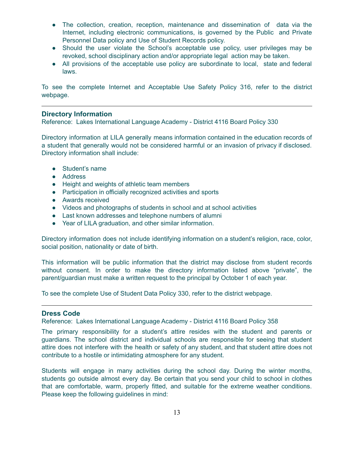- The collection, creation, reception, maintenance and dissemination of data via the Internet, including electronic communications, is governed by the Public and Private Personnel Data policy and Use of Student Records policy.
- Should the user violate the School's acceptable use policy, user privileges may be revoked, school disciplinary action and/or appropriate legal action may be taken.
- All provisions of the acceptable use policy are subordinate to local, state and federal laws.

To see the complete Internet and Acceptable Use Safety Policy 316, refer to the district webpage.

#### **Directory Information**

Reference: Lakes International Language Academy - District 4116 Board Policy 330

Directory information at LILA generally means information contained in the education records of a student that generally would not be considered harmful or an invasion of privacy if disclosed. Directory information shall include:

- Student's name
- Address
- Height and weights of athletic team members
- Participation in officially recognized activities and sports
- Awards received
- Videos and photographs of students in school and at school activities
- Last known addresses and telephone numbers of alumni
- Year of LILA graduation, and other similar information.

Directory information does not include identifying information on a student's religion, race, color, social position, nationality or date of birth.

This information will be public information that the district may disclose from student records without consent. In order to make the directory information listed above "private", the parent/guardian must make a written request to the principal by October 1 of each year.

To see the complete Use of Student Data Policy 330, refer to the district webpage.

#### **Dress Code**

Reference: Lakes International Language Academy - District 4116 Board Policy 358

The primary responsibility for a student's attire resides with the student and parents or guardians. The school district and individual schools are responsible for seeing that student attire does not interfere with the health or safety of any student, and that student attire does not contribute to a hostile or intimidating atmosphere for any student.

Students will engage in many activities during the school day. During the winter months, students go outside almost every day. Be certain that you send your child to school in clothes that are comfortable, warm, properly fitted, and suitable for the extreme weather conditions. Please keep the following guidelines in mind: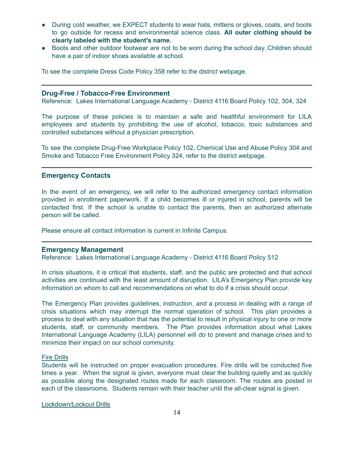- During cold weather, we EXPECT students to wear hats, mittens or gloves, coats, and boots to go outside for recess and environmental science class. **All outer clothing should be clearly labeled with the student's name.**
- Boots and other outdoor footwear are not to be worn during the school day. Children should have a pair of indoor shoes available at school.

To see the complete Dress Code Policy 358 refer to the district webpage.

#### **Drug-Free / Tobacco-Free Environment**

Reference: Lakes International Language Academy - District 4116 Board Policy 102, 304, 324

The purpose of these policies is to maintain a safe and healthful environment for LILA employees and students by prohibiting the use of alcohol, tobacco, toxic substances and controlled substances without a physician prescription.

To see the complete Drug-Free Workplace Policy 102, Chemical Use and Abuse Policy 304 and Smoke and Tobacco Free Environment Policy 324, refer to the district webpage.

# **Emergency Contacts**

In the event of an emergency, we will refer to the authorized emergency contact information provided in enrollment paperwork. If a child becomes ill or injured in school, parents will be contacted first. If the school is unable to contact the parents, then an authorized alternate person will be called.

Please ensure all contact information is current in Infinite Campus.

#### **Emergency Management**

Reference: Lakes International Language Academy - District 4116 Board Policy 512

In crisis situations, it is critical that students, staff, and the public are protected and that school activities are continued with the least amount of disruption. LILA's Emergency Plan provide key information on whom to call and recommendations on what to do if a crisis should occur.

The Emergency Plan provides guidelines, instruction, and a process in dealing with a range of crisis situations which may interrupt the normal operation of school. This plan provides a process to deal with any situation that has the potential to result in physical injury to one or more students, staff, or community members. The Plan provides information about what Lakes International Language Academy (LILA) personnel will do to prevent and manage crises and to minimize their impact on our school community.

#### Fire Drills

Students will be instructed on proper evacuation procedures. Fire drills will be conducted five times a year. When the signal is given, everyone must clear the building quietly and as quickly as possible along the designated routes made for each classroom. The routes are posted in each of the classrooms. Students remain with their teacher until the all-clear signal is given.

Lockdown/Lockout Drills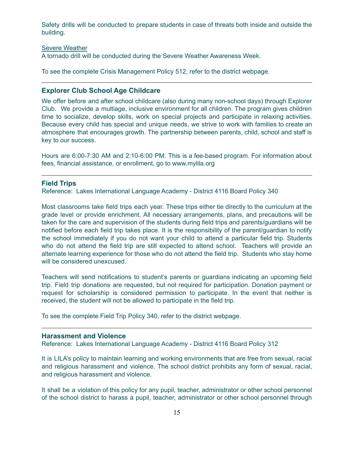Safety drills will be conducted to prepare students in case of threats both inside and outside the building.

#### Severe Weather

A tornado drill will be conducted during the Severe Weather Awareness Week.

To see the complete Crisis Management Policy 512, refer to the district webpage.

# **Explorer Club School Age Childcare**

We offer before and after school childcare (also during many non-school days) through Explorer Club. We provide a multiage, inclusive environment for all children. The program gives children time to socialize, develop skills, work on special projects and participate in relaxing activities. Because every child has special and unique needs, we strive to work with families to create an atmosphere that encourages growth. The partnership between parents, child, school and staff is key to our success.

Hours are 6:00-7:30 AM and 2:10-6:00 PM. This is a fee-based program. For information about fees, financial assistance, or enrollment, go to www.mylila.org

#### **Field Trips**

Reference: Lakes International Language Academy - District 4116 Board Policy 340

Most classrooms take field trips each year. These trips either tie directly to the curriculum at the grade level or provide enrichment. All necessary arrangements, plans, and precautions will be taken for the care and supervision of the students during field trips and parents/guardians will be notified before each field trip takes place. It is the responsibility of the parent/guardian to notify the school immediately if you do not want your child to attend a particular field trip. Students who do not attend the field trip are still expected to attend school. Teachers will provide an alternate learning experience for those who do not attend the field trip. Students who stay home will be considered unexcused.

Teachers will send notifications to student's parents or guardians indicating an upcoming field trip. Field trip donations are requested, but not required for participation. Donation payment or request for scholarship is considered permission to participate. In the event that neither is received, the student will not be allowed to participate in the field trip.

To see the complete Field Trip Policy 340, refer to the district webpage.

#### **Harassment and Violence**

Reference: Lakes International Language Academy - District 4116 Board Policy 312

It is LILA's policy to maintain learning and working environments that are free from sexual, racial and religious harassment and violence. The school district prohibits any form of sexual, racial, and religious harassment and violence.

It shall be a violation of this policy for any pupil, teacher, administrator or other school personnel of the school district to harass a pupil, teacher, administrator or other school personnel through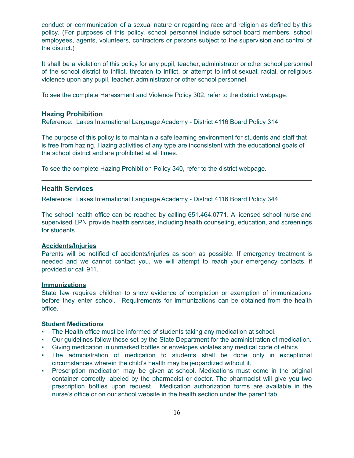conduct or communication of a sexual nature or regarding race and religion as defined by this policy. (For purposes of this policy, school personnel include school board members, school employees, agents, volunteers, contractors or persons subject to the supervision and control of the district.)

It shall be a violation of this policy for any pupil, teacher, administrator or other school personnel of the school district to inflict, threaten to inflict, or attempt to inflict sexual, racial, or religious violence upon any pupil, teacher, administrator or other school personnel.

To see the complete Harassment and Violence Policy 302, refer to the district webpage.

#### **Hazing Prohibition**

Reference: Lakes International Language Academy - District 4116 Board Policy 314

The purpose of this policy is to maintain a safe learning environment for students and staff that is free from hazing. Hazing activities of any type are inconsistent with the educational goals of the school district and are prohibited at all times.

To see the complete Hazing Prohibition Policy 340, refer to the district webpage.

#### **Health Services**

Reference: Lakes International Language Academy - District 4116 Board Policy 344

The school health office can be reached by calling 651.464.0771. A licensed school nurse and supervised LPN provide health services, including health counseling, education, and screenings for students.

# **Accidents/Injuries**

Parents will be notified of accidents/injuries as soon as possible. If emergency treatment is needed and we cannot contact you, we will attempt to reach your emergency contacts, if provided,or call 911.

#### **Immunizations**

State law requires children to show evidence of completion or exemption of immunizations before they enter school. Requirements for immunizations can be obtained from the health office.

### **Student Medications**

- The Health office must be informed of students taking any medication at school.
- Our guidelines follow those set by the State Department for the administration of medication.
- Giving medication in unmarked bottles or envelopes violates any medical code of ethics.
- The administration of medication to students shall be done only in exceptional circumstances wherein the child's health may be jeopardized without it.
- Prescription medication may be given at school. Medications must come in the original container correctly labeled by the pharmacist or doctor. The pharmacist will give you two prescription bottles upon request. Medication authorization forms are available in the nurse's office or on our school website in the health section under the parent tab.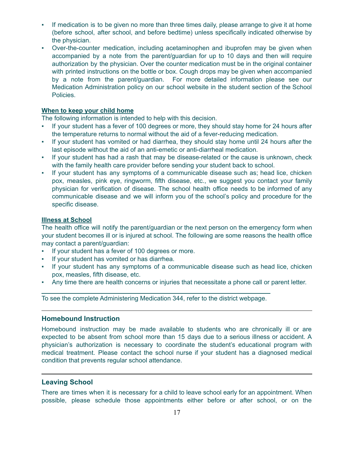- If medication is to be given no more than three times daily, please arrange to give it at home (before school, after school, and before bedtime) unless specifically indicated otherwise by the physician.
- Over-the-counter medication, including acetaminophen and ibuprofen may be given when accompanied by a note from the parent/guardian for up to 10 days and then will require authorization by the physician. Over the counter medication must be in the original container with printed instructions on the bottle or box. Cough drops may be given when accompanied by a note from the parent/guardian. For more detailed information please see our Medication Administration policy on our school website in the student section of the School Policies.

#### **When to keep your child home**

The following information is intended to help with this decision.

- If your student has a fever of 100 degrees or more, they should stay home for 24 hours after the temperature returns to normal without the aid of a fever-reducing medication.
- If your student has vomited or had diarrhea, they should stay home until 24 hours after the last episode without the aid of an anti-emetic or anti-diarrheal medication.
- If your student has had a rash that may be disease-related or the cause is unknown, check with the family health care provider before sending your student back to school.
- If your student has any symptoms of a communicable disease such as; head lice, chicken pox, measles, pink eye, ringworm, fifth disease, etc., we suggest you contact your family physician for verification of disease. The school health office needs to be informed of any communicable disease and we will inform you of the school's policy and procedure for the specific disease.

# **Illness at School**

The health office will notify the parent/guardian or the next person on the emergency form when your student becomes ill or is injured at school. The following are some reasons the health office may contact a parent/guardian:

- If your student has a fever of 100 degrees or more.
- If your student has vomited or has diarrhea.
- If your student has any symptoms of a communicable disease such as head lice, chicken pox, measles, fifth disease, etc.
- Any time there are health concerns or injuries that necessitate a phone call or parent letter.

To see the complete Administering Medication 344, refer to the district webpage.

# **Homebound Instruction**

Homebound instruction may be made available to students who are chronically ill or are expected to be absent from school more than 15 days due to a serious illness or accident. A physician's authorization is necessary to coordinate the student's educational program with medical treatment. Please contact the school nurse if your student has a diagnosed medical condition that prevents regular school attendance.

# **Leaving School**

There are times when it is necessary for a child to leave school early for an appointment. When possible, please schedule those appointments either before or after school, or on the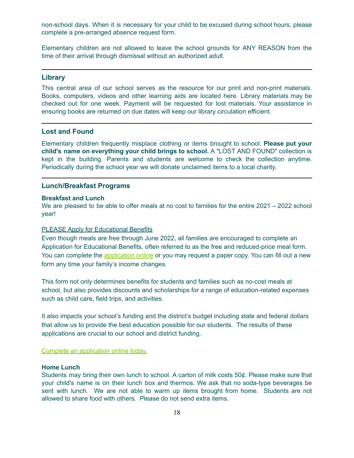non-school days. When it is necessary for your child to be excused during school hours, please complete a pre-arranged absence request form.

Elementary children are not allowed to leave the school grounds for ANY REASON from the time of their arrival through dismissal without an authorized adult.

#### **Library**

This central area of our school serves as the resource for our print and non-print materials. Books, computers, videos and other learning aids are located here. Library materials may be checked out for one week. Payment will be requested for lost materials. Your assistance in ensuring books are returned on due dates will keep our library circulation efficient.

# **Lost and Found**

Elementary children frequently misplace clothing or items brought to school. **Please put your child's name on everything your child brings to school.** A "LOST AND FOUND" collection is kept in the building. Parents and students are welcome to check the collection anytime. Periodically during the school year we will donate unclaimed items to a local charity.

# **Lunch/Breakfast Programs**

#### **Breakfast and Lunch**

We are pleased to be able to offer meals at no cost to families for the entire 2021 – 2022 school year!

#### PLEASE Apply for Educational Benefits

Even though meals are free through June 2022, all families are encouraged to complete an Application for Educational Benefits, often referred to as the free and reduced-price meal form. You can complete the [application](https://forestlakeschoolfs.com/index.php?sid=1604151650082571&page=lunchapps) online or you may request a paper copy. You can fill out a new form any time your family's income changes.

This form not only determines benefits for students and families such as no-cost meals at school, but also provides discounts and scholarships for a range of education-related expenses such as child care, field trips, and activities.

It also impacts your school's funding and the district's budget including state and federal dollars that allow us to provide the best education possible for our students. The results of these applications are crucial to our school and district funding.

Complete an [application](https://forestlakeschoolfs.com/index.php?sid=1604151650082571&page=lunchapps) online today.

#### **Home Lunch**

Students may bring their own lunch to school. A carton of milk costs 50¢. Please make sure that your child's name is on their lunch box and thermos. We ask that no soda-type beverages be sent with lunch. We are not able to warm up items brought from home. Students are not allowed to share food with others. Please do not send extra items.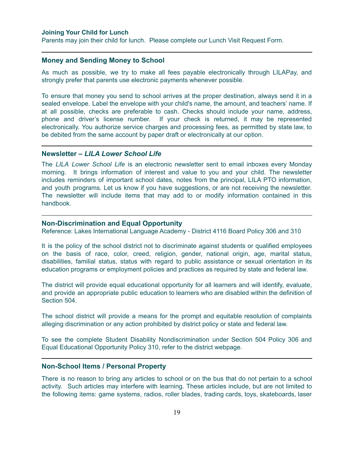#### **Joining Your Child for Lunch**

Parents may join their child for lunch. Please complete our Lunch Visit Request Form.

# **Money and Sending Money to School**

As much as possible, we try to make all fees payable electronically through LILAPay, and strongly prefer that parents use electronic payments whenever possible.

To ensure that money you send to school arrives at the proper destination, always send it in a sealed envelope. Label the envelope with your child's name, the amount, and teachers' name. If at all possible, checks are preferable to cash. Checks should include your name, address, phone and driver's license number. If your check is returned, it may be represented electronically. You authorize service charges and processing fees, as permitted by state law, to be debited from the same account by paper draft or electronically at our option.

# **Newsletter –** *LILA Lower School Life*

The *LILA Lower School Life* is an electronic newsletter sent to email inboxes every Monday morning. It brings information of interest and value to you and your child. The newsletter includes reminders of important school dates, notes from the principal, LILA PTO information, and youth programs. Let us know if you have suggestions, or are not receiving the newsletter. The newsletter will include items that may add to or modify information contained in this handbook.

#### **Non-Discrimination and Equal Opportunity**

Reference: Lakes International Language Academy - District 4116 Board Policy 306 and 310

It is the policy of the school district not to discriminate against students or qualified employees on the basis of race, color, creed, religion, gender, national origin, age, marital status, disabilities, familial status, status with regard to public assistance or sexual orientation in its education programs or employment policies and practices as required by state and federal law.

The district will provide equal educational opportunity for all learners and will identify, evaluate, and provide an appropriate public education to learners who are disabled within the definition of Section 504.

The school district will provide a means for the prompt and equitable resolution of complaints alleging discrimination or any action prohibited by district policy or state and federal law.

To see the complete Student Disability Nondiscrimination under Section 504 Policy 306 and Equal Educational Opportunity Policy 310, refer to the district webpage.

#### **Non-School Items / Personal Property**

There is no reason to bring any articles to school or on the bus that do not pertain to a school activity. Such articles may interfere with learning. These articles include, but are not limited to the following items: game systems, radios, roller blades, trading cards, toys, skateboards, laser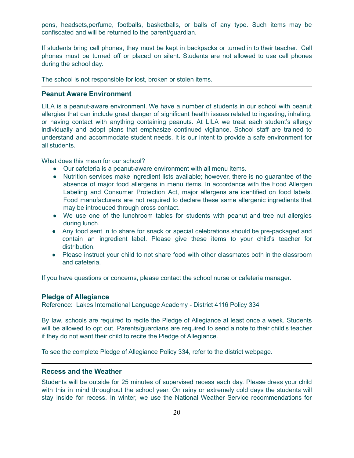pens, headsets,perfume, footballs, basketballs, or balls of any type. Such items may be confiscated and will be returned to the parent/guardian.

If students bring cell phones, they must be kept in backpacks or turned in to their teacher. Cell phones must be turned off or placed on silent. Students are not allowed to use cell phones during the school day.

The school is not responsible for lost, broken or stolen items.

# **Peanut Aware Environment**

LILA is a peanut-aware environment. We have a number of students in our school with peanut allergies that can include great danger of significant health issues related to ingesting, inhaling, or having contact with anything containing peanuts. At LILA we treat each student's allergy individually and adopt plans that emphasize continued vigilance. School staff are trained to understand and accommodate student needs. It is our intent to provide a safe environment for all students.

What does this mean for our school?

- Our cafeteria is a peanut-aware environment with all menu items.
- Nutrition services make ingredient lists available; however, there is no guarantee of the absence of major food allergens in menu items. In accordance with the Food Allergen Labeling and Consumer Protection Act, major allergens are identified on food labels. Food manufacturers are not required to declare these same allergenic ingredients that may be introduced through cross contact.
- We use one of the lunchroom tables for students with peanut and tree nut allergies during lunch.
- Any food sent in to share for snack or special celebrations should be pre-packaged and contain an ingredient label. Please give these items to your child's teacher for distribution.
- Please instruct your child to not share food with other classmates both in the classroom and cafeteria.

If you have questions or concerns, please contact the school nurse or cafeteria manager.

#### **Pledge of Allegiance**

Reference: Lakes International Language Academy - District 4116 Policy 334

By law, schools are required to recite the Pledge of Allegiance at least once a week. Students will be allowed to opt out. Parents/guardians are required to send a note to their child's teacher if they do not want their child to recite the Pledge of Allegiance.

To see the complete Pledge of Allegiance Policy 334, refer to the district webpage.

#### **Recess and the Weather**

Students will be outside for 25 minutes of supervised recess each day. Please dress your child with this in mind throughout the school year. On rainy or extremely cold days the students will stay inside for recess. In winter, we use the National Weather Service recommendations for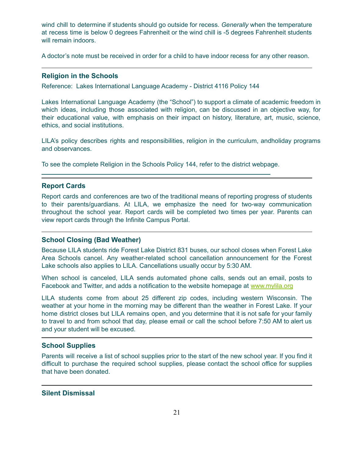wind chill to determine if students should go outside for recess. *Generally* when the temperature at recess time is below 0 degrees Fahrenheit or the wind chill is -5 degrees Fahrenheit students will remain indoors.

A doctor's note must be received in order for a child to have indoor recess for any other reason.

#### **Religion in the Schools**

Reference: Lakes International Language Academy - District 4116 Policy 144

Lakes International Language Academy (the "School") to support a climate of academic freedom in which ideas, including those associated with religion, can be discussed in an objective way, for their educational value, with emphasis on their impact on history, literature, art, music, science, ethics, and social institutions.

LILA's policy describes rights and responsibilities, religion in the curriculum, andholiday programs and observances.

To see the complete Religion in the Schools Policy 144, refer to the district webpage.

#### **Report Cards**

Report cards and conferences are two of the traditional means of reporting progress of students to their parents/guardians. At LILA, we emphasize the need for two-way communication throughout the school year. Report cards will be completed two times per year. Parents can view report cards through the Infinite Campus Portal.

# **School Closing (Bad Weather)**

Because LILA students ride Forest Lake District 831 buses, our school closes when Forest Lake Area Schools cancel. Any weather-related school cancellation announcement for the Forest Lake schools also applies to LILA. Cancellations usually occur by 5:30 AM.

When school is canceled, LILA sends automated phone calls, sends out an email, posts to Facebook and Twitter, and adds a notification to the website homepage at [www.mylila.org](http://www.mylila.org)

LILA students come from about 25 different zip codes, including western Wisconsin. The weather at your home in the morning may be different than the weather in Forest Lake. If your home district closes but LILA remains open, and you determine that it is not safe for your family to travel to and from school that day, please email or call the school before 7:50 AM to alert us and your student will be excused.

# **School Supplies**

Parents will receive a list of school supplies prior to the start of the new school year. If you find it difficult to purchase the required school supplies, please contact the school office for supplies that have been donated.

#### **Silent Dismissal**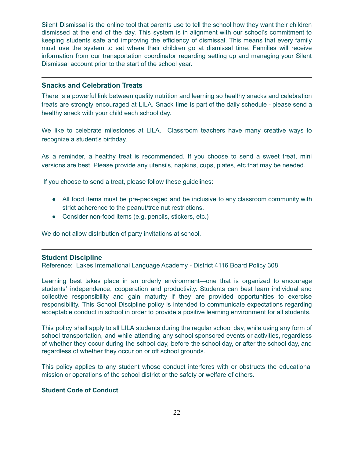Silent Dismissal is the online tool that parents use to tell the school how they want their children dismissed at the end of the day. This system is in alignment with our school's commitment to keeping students safe and improving the efficiency of dismissal. This means that every family must use the system to set where their children go at dismissal time. Families will receive information from our transportation coordinator regarding setting up and managing your Silent Dismissal account prior to the start of the school year.

# **Snacks and Celebration Treats**

There is a powerful link between quality nutrition and learning so healthy snacks and celebration treats are strongly encouraged at LILA. Snack time is part of the daily schedule - please send a healthy snack with your child each school day.

We like to celebrate milestones at LILA. Classroom teachers have many creative ways to recognize a student's birthday.

As a reminder, a healthy treat is recommended. If you choose to send a sweet treat, mini versions are best. Please provide any utensils, napkins, cups, plates, etc.that may be needed.

If you choose to send a treat, please follow these guidelines:

- All food items must be pre-packaged and be inclusive to any classroom community with strict adherence to the peanut/tree nut restrictions.
- Consider non-food items (e.g. pencils, stickers, etc.)

We do not allow distribution of party invitations at school.

#### **Student Discipline**

Reference: Lakes International Language Academy - District 4116 Board Policy 308

Learning best takes place in an orderly environment—one that is organized to encourage students' independence, cooperation and productivity. Students can best learn individual and collective responsibility and gain maturity if they are provided opportunities to exercise responsibility. This School Discipline policy is intended to communicate expectations regarding acceptable conduct in school in order to provide a positive learning environment for all students.

This policy shall apply to all LILA students during the regular school day, while using any form of school transportation, and while attending any school sponsored events or activities, regardless of whether they occur during the school day, before the school day, or after the school day, and regardless of whether they occur on or off school grounds.

This policy applies to any student whose conduct interferes with or obstructs the educational mission or operations of the school district or the safety or welfare of others.

#### **Student Code of Conduct**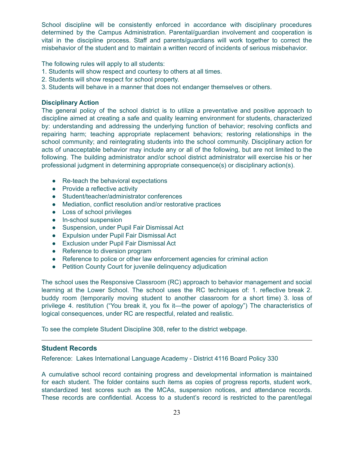School discipline will be consistently enforced in accordance with disciplinary procedures determined by the Campus Administration. Parental/guardian involvement and cooperation is vital in the discipline process. Staff and parents/guardians will work together to correct the misbehavior of the student and to maintain a written record of incidents of serious misbehavior.

The following rules will apply to all students:

- 1. Students will show respect and courtesy to others at all times.
- 2. Students will show respect for school property.
- 3. Students will behave in a manner that does not endanger themselves or others.

#### **Disciplinary Action**

The general policy of the school district is to utilize a preventative and positive approach to discipline aimed at creating a safe and quality learning environment for students, characterized by: understanding and addressing the underlying function of behavior; resolving conflicts and repairing harm; teaching appropriate replacement behaviors; restoring relationships in the school community; and reintegrating students into the school community. Disciplinary action for acts of unacceptable behavior may include any or all of the following, but are not limited to the following. The building administrator and/or school district administrator will exercise his or her professional judgment in determining appropriate consequence(s) or disciplinary action(s).

- Re-teach the behavioral expectations
- Provide a reflective activity
- Student/teacher/administrator conferences
- Mediation, conflict resolution and/or restorative practices
- Loss of school privileges
- In-school suspension
- Suspension, under Pupil Fair Dismissal Act
- Expulsion under Pupil Fair Dismissal Act
- Exclusion under Pupil Fair Dismissal Act
- Reference to diversion program
- Reference to police or other law enforcement agencies for criminal action
- Petition County Court for juvenile delinquency adjudication

The school uses the Responsive Classroom (RC) approach to behavior management and social learning at the Lower School. The school uses the RC techniques of: 1. reflective break 2. buddy room (temporarily moving student to another classroom for a short time) 3. loss of privilege 4. restitution ("You break it, you fix it—the power of apology") The characteristics of logical consequences, under RC are respectful, related and realistic.

To see the complete Student Discipline 308, refer to the district webpage.

# **Student Records**

Reference: Lakes International Language Academy - District 4116 Board Policy 330

A cumulative school record containing progress and developmental information is maintained for each student. The folder contains such items as copies of progress reports, student work, standardized test scores such as the MCAs, suspension notices, and attendance records. These records are confidential. Access to a student's record is restricted to the parent/legal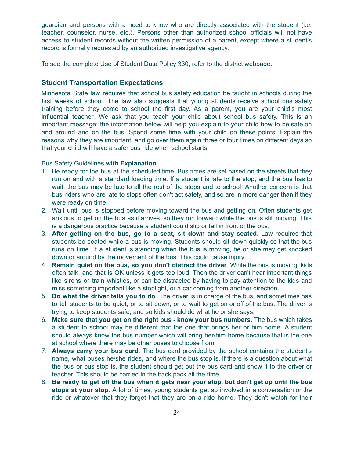guardian and persons with a need to know who are directly associated with the student (i.e. teacher, counselor, nurse, etc.). Persons other than authorized school officials will not have access to student records without the written permission of a parent, except where a student's record is formally requested by an authorized investigative agency.

To see the complete Use of Student Data Policy 330, refer to the district webpage.

#### **Student Transportation Expectations**

Minnesota State law requires that school bus safety education be taught in schools during the first weeks of school. The law also suggests that young students receive school bus safety training before they come to school the first day. As a parent, you are your child's most influential teacher. We ask that you teach your child about school bus safety. This is an important message; the information below will help you explain to your child how to be safe on and around and on the bus. Spend some time with your child on these points. Explain the reasons why they are important, and go over them again three or four times on different days so that your child will have a safer bus ride when school starts.

#### Bus Safety Guidelines **with Explanation**

- 1. Be ready for the bus at the scheduled time. Bus times are set based on the streets that they run on and with a standard loading time. If a student is late to the stop, and the bus has to wait, the bus may be late to all the rest of the stops and to school. Another concern is that bus riders who are late to stops often don't act safely, and so are in more danger than if they were ready on time.
- 2. Wait until bus is stopped before moving toward the bus and getting on. Often students get anxious to get on the bus as it arrives, so they run forward while the bus is still moving. This is a dangerous practice because a student could slip or fall in front of the bus.
- 3. **After getting on the bus, go to a seat, sit down and stay seated**. Law requires that students be seated while a bus is moving. Students should sit down quickly so that the bus runs on time. If a student is standing when the bus is moving, he or she may get knocked down or around by the movement of the bus. This could cause injury.
- 4. **Remain quiet on the bus, so you don't distract the driver**. While the bus is moving, kids often talk, and that is OK unless it gets too loud. Then the driver can't hear important things like sirens or train whistles, or can be distracted by having to pay attention to the kids and miss something important like a stoplight, or a car coming from another direction.
- 5. **Do what the driver tells you to do**. The driver is in charge of the bus, and sometimes has to tell students to be quiet, or to sit down, or to wait to get on or off of the bus. The driver is trying to keep students safe, and so kids should do what he or she says.
- 6. **Make sure that you get on the right bus - know your bus numbers**. The bus which takes a student to school may be different that the one that brings her or him home. A student should always know the bus number which will bring her/him home because that is the one at school where there may be other buses to choose from.
- 7. **Always carry your bus card**. The bus card provided by the school contains the student's name, what buses he/she rides, and where the bus stop is. If there is a question about what the bus or bus stop is, the student should get out the bus card and show it to the driver or teacher. This should be carried in the back pack all the time.
- 8. Be ready to get off the bus when it gets near your stop, but don't get up until the bus **stops at your stop.** A lot of times, young students get so involved in a conversation or the ride or whatever that they forget that they are on a ride home. They don't watch for their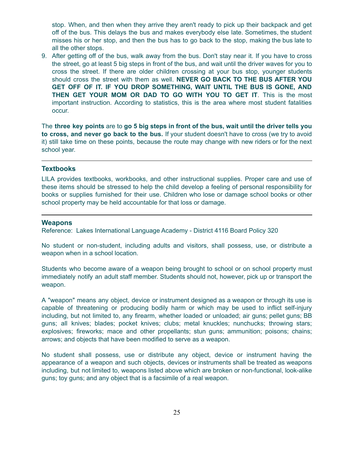stop. When, and then when they arrive they aren't ready to pick up their backpack and get off of the bus. This delays the bus and makes everybody else late. Sometimes, the student misses his or her stop, and then the bus has to go back to the stop, making the bus late to all the other stops.

9. After getting off of the bus, walk away from the bus. Don't stay near it. If you have to cross the street, go at least 5 big steps in front of the bus, and wait until the driver waves for you to cross the street. If there are older children crossing at your bus stop, younger students should cross the street with them as well. **NEVER GO BACK TO THE BUS AFTER YOU GET OFF OF IT. IF YOU DROP SOMETHING, WAIT UNTIL THE BUS IS GONE, AND THEN GET YOUR MOM OR DAD TO GO WITH YOU TO GET IT**. This is the most important instruction. According to statistics, this is the area where most student fatalities occur.

The **three key points** are to **go 5 big steps in front of the bus, wait until the driver tells you to cross, and never go back to the bus.** If your student doesn't have to cross (we try to avoid it) still take time on these points, because the route may change with new riders or for the next school year.

# **Textbooks**

LILA provides textbooks, workbooks, and other instructional supplies. Proper care and use of these items should be stressed to help the child develop a feeling of personal responsibility for books or supplies furnished for their use. Children who lose or damage school books or other school property may be held accountable for that loss or damage.

#### **Weapons**

Reference: Lakes International Language Academy - District 4116 Board Policy 320

No student or non-student, including adults and visitors, shall possess, use, or distribute a weapon when in a school location.

Students who become aware of a weapon being brought to school or on school property must immediately notify an adult staff member. Students should not, however, pick up or transport the weapon.

A "weapon" means any object, device or instrument designed as a weapon or through its use is capable of threatening or producing bodily harm or which may be used to inflict self-injury including, but not limited to, any firearm, whether loaded or unloaded; air guns; pellet guns; BB guns; all knives; blades; pocket knives; clubs; metal knuckles; nunchucks; throwing stars; explosives; fireworks; mace and other propellants; stun guns; ammunition; poisons; chains; arrows; and objects that have been modified to serve as a weapon.

No student shall possess, use or distribute any object, device or instrument having the appearance of a weapon and such objects, devices or instruments shall be treated as weapons including, but not limited to, weapons listed above which are broken or non-functional, look-alike guns; toy guns; and any object that is a facsimile of a real weapon.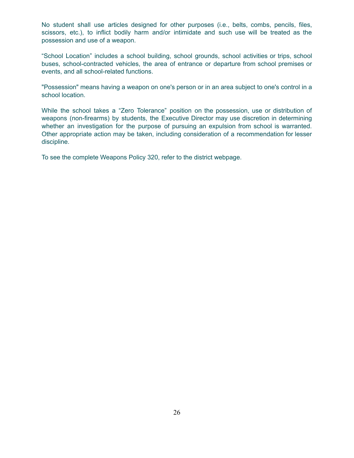No student shall use articles designed for other purposes (i.e., belts, combs, pencils, files, scissors, etc.), to inflict bodily harm and/or intimidate and such use will be treated as the possession and use of a weapon.

"School Location" includes a school building, school grounds, school activities or trips, school buses, school-contracted vehicles, the area of entrance or departure from school premises or events, and all school-related functions.

"Possession" means having a weapon on one's person or in an area subject to one's control in a school location.

While the school takes a "Zero Tolerance" position on the possession, use or distribution of weapons (non-firearms) by students, the Executive Director may use discretion in determining whether an investigation for the purpose of pursuing an expulsion from school is warranted. Other appropriate action may be taken, including consideration of a recommendation for lesser discipline.

To see the complete Weapons Policy 320, refer to the district webpage.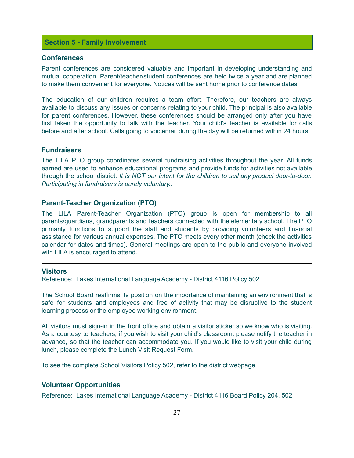# **Section 5 - Family Involvement**

#### **Conferences**

Parent conferences are considered valuable and important in developing understanding and mutual cooperation. Parent/teacher/student conferences are held twice a year and are planned to make them convenient for everyone. Notices will be sent home prior to conference dates.

The education of our children requires a team effort. Therefore, our teachers are always available to discuss any issues or concerns relating to your child. The principal is also available for parent conferences. However, these conferences should be arranged only after you have first taken the opportunity to talk with the teacher. Your child's teacher is available for calls before and after school. Calls going to voicemail during the day will be returned within 24 hours.

#### **Fundraisers**

The LILA PTO group coordinates several fundraising activities throughout the year. All funds earned are used to enhance educational programs and provide funds for activities not available through the school district. *It is NOT our intent for the children to sell any product door-to-door. Participating in fundraisers is purely voluntary.*.

#### **Parent-Teacher Organization (PTO)**

The LILA Parent-Teacher Organization (PTO) group is open for membership to all parents/guardians, grandparents and teachers connected with the elementary school. The PTO primarily functions to support the staff and students by providing volunteers and financial assistance for various annual expenses. The PTO meets every other month (check the activities calendar for dates and times). General meetings are open to the public and everyone involved with LILA is encouraged to attend.

# **Visitors**

Reference: Lakes International Language Academy - District 4116 Policy 502

The School Board reaffirms its position on the importance of maintaining an environment that is safe for students and employees and free of activity that may be disruptive to the student learning process or the employee working environment.

All visitors must sign-in in the front office and obtain a visitor sticker so we know who is visiting. As a courtesy to teachers, if you wish to visit your child's classroom, please notify the teacher in advance, so that the teacher can accommodate you. If you would like to visit your child during lunch, please complete the Lunch Visit Request Form.

To see the complete School Visitors Policy 502, refer to the district webpage.

# **Volunteer Opportunities**

Reference: Lakes International Language Academy - District 4116 Board Policy 204, 502